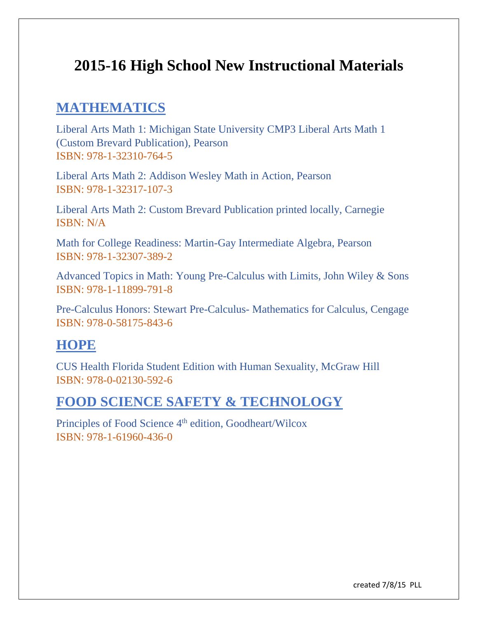# **2015-16 High School New Instructional Materials**

### **MATHEMATICS**

Liberal Arts Math 1: Michigan State University CMP3 Liberal Arts Math 1 (Custom Brevard Publication), Pearson ISBN: 978-1-32310-764-5

Liberal Arts Math 2: Addison Wesley Math in Action, Pearson ISBN: 978-1-32317-107-3

Liberal Arts Math 2: Custom Brevard Publication printed locally, Carnegie ISBN: N/A

Math for College Readiness: Martin-Gay Intermediate Algebra, Pearson ISBN: 978-1-32307-389-2

Advanced Topics in Math: Young Pre-Calculus with Limits, John Wiley & Sons ISBN: 978-1-11899-791-8

Pre-Calculus Honors: Stewart Pre-Calculus- Mathematics for Calculus, Cengage ISBN: 978-0-58175-843-6

## **HOPE**

CUS Health Florida Student Edition with Human Sexuality, McGraw Hill ISBN: 978-0-02130-592-6

### **FOOD SCIENCE SAFETY & TECHNOLOGY**

Principles of Food Science 4<sup>th</sup> edition, Goodheart/Wilcox ISBN: 978-1-61960-436-0